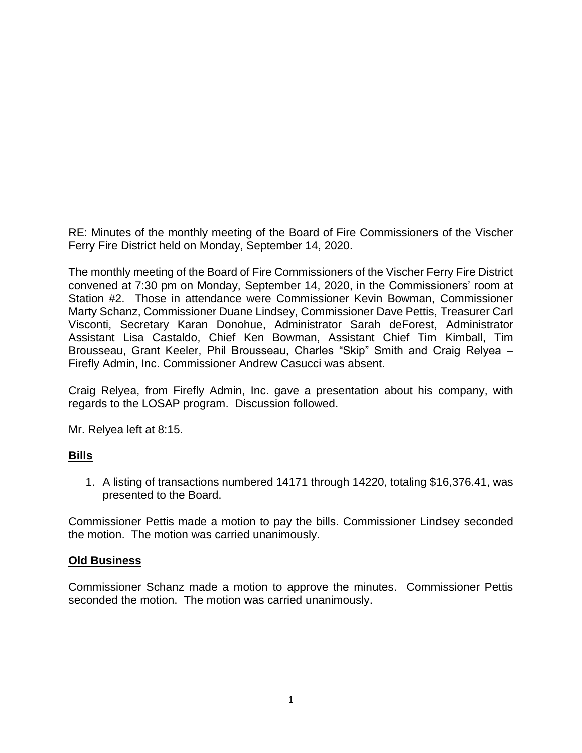RE: Minutes of the monthly meeting of the Board of Fire Commissioners of the Vischer Ferry Fire District held on Monday, September 14, 2020.

The monthly meeting of the Board of Fire Commissioners of the Vischer Ferry Fire District convened at 7:30 pm on Monday, September 14, 2020, in the Commissioners' room at Station #2. Those in attendance were Commissioner Kevin Bowman, Commissioner Marty Schanz, Commissioner Duane Lindsey, Commissioner Dave Pettis, Treasurer Carl Visconti, Secretary Karan Donohue, Administrator Sarah deForest, Administrator Assistant Lisa Castaldo, Chief Ken Bowman, Assistant Chief Tim Kimball, Tim Brousseau, Grant Keeler, Phil Brousseau, Charles "Skip" Smith and Craig Relyea – Firefly Admin, Inc. Commissioner Andrew Casucci was absent.

Craig Relyea, from Firefly Admin, Inc. gave a presentation about his company, with regards to the LOSAP program. Discussion followed.

Mr. Relyea left at 8:15.

#### **Bills**

1. A listing of transactions numbered 14171 through 14220, totaling \$16,376.41, was presented to the Board.

Commissioner Pettis made a motion to pay the bills. Commissioner Lindsey seconded the motion. The motion was carried unanimously.

#### **Old Business**

Commissioner Schanz made a motion to approve the minutes. Commissioner Pettis seconded the motion. The motion was carried unanimously.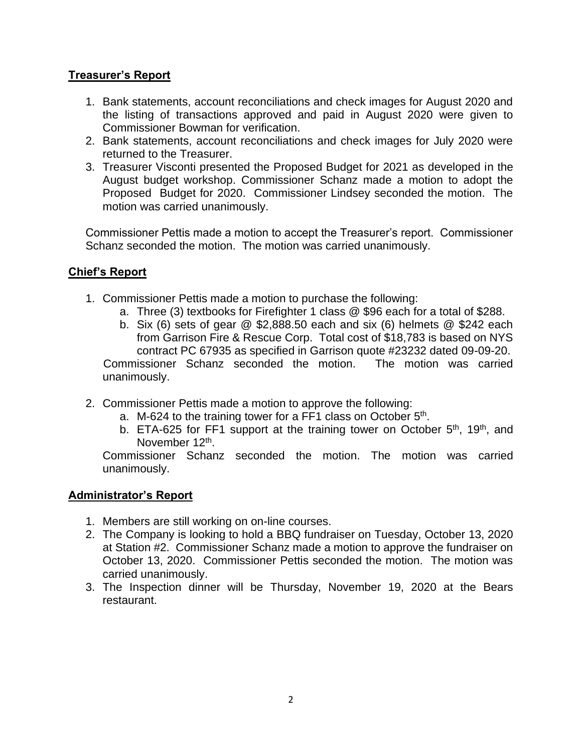# **Treasurer's Report**

- 1. Bank statements, account reconciliations and check images for August 2020 and the listing of transactions approved and paid in August 2020 were given to Commissioner Bowman for verification.
- 2. Bank statements, account reconciliations and check images for July 2020 were returned to the Treasurer.
- 3. Treasurer Visconti presented the Proposed Budget for 2021 as developed in the August budget workshop. Commissioner Schanz made a motion to adopt the Proposed Budget for 2020. Commissioner Lindsey seconded the motion. The motion was carried unanimously.

Commissioner Pettis made a motion to accept the Treasurer's report. Commissioner Schanz seconded the motion. The motion was carried unanimously.

## **Chief's Report**

- 1. Commissioner Pettis made a motion to purchase the following:
	- a. Three (3) textbooks for Firefighter 1 class @ \$96 each for a total of \$288.
	- b. Six (6) sets of gear  $@$  \$2,888.50 each and six (6) helmets  $@$  \$242 each from Garrison Fire & Rescue Corp. Total cost of \$18,783 is based on NYS contract PC 67935 as specified in Garrison quote #23232 dated 09-09-20. Commissioner Schanz seconded the motion. The motion was carried unanimously.
- 2. Commissioner Pettis made a motion to approve the following:
	- a. M-624 to the training tower for a FF1 class on October 5<sup>th</sup>.
	- b. ETA-625 for FF1 support at the training tower on October  $5<sup>th</sup>$ , 19<sup>th</sup>, and November 12<sup>th</sup>.

Commissioner Schanz seconded the motion. The motion was carried unanimously.

## **Administrator's Report**

- 1. Members are still working on on-line courses.
- 2. The Company is looking to hold a BBQ fundraiser on Tuesday, October 13, 2020 at Station #2. Commissioner Schanz made a motion to approve the fundraiser on October 13, 2020. Commissioner Pettis seconded the motion. The motion was carried unanimously.
- 3. The Inspection dinner will be Thursday, November 19, 2020 at the Bears restaurant.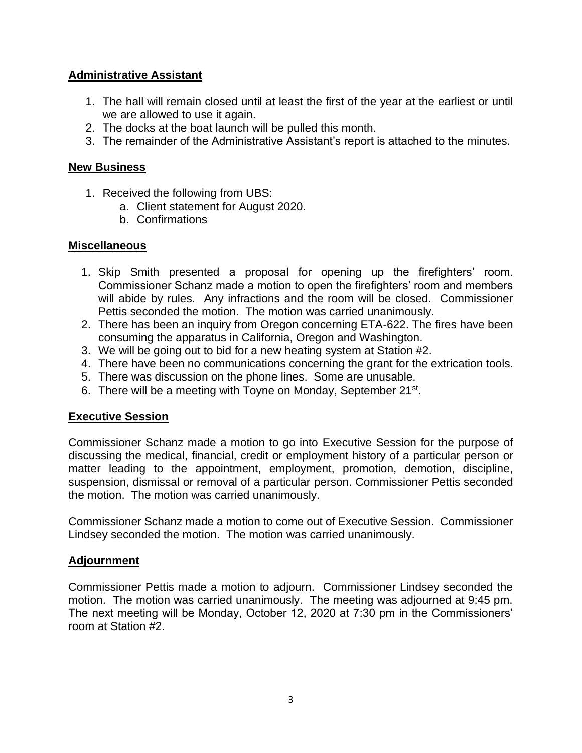# **Administrative Assistant**

- 1. The hall will remain closed until at least the first of the year at the earliest or until we are allowed to use it again.
- 2. The docks at the boat launch will be pulled this month.
- 3. The remainder of the Administrative Assistant's report is attached to the minutes.

#### **New Business**

- 1. Received the following from UBS:
	- a. Client statement for August 2020.
	- b. Confirmations

## **Miscellaneous**

- 1. Skip Smith presented a proposal for opening up the firefighters' room. Commissioner Schanz made a motion to open the firefighters' room and members will abide by rules. Any infractions and the room will be closed. Commissioner Pettis seconded the motion. The motion was carried unanimously.
- 2. There has been an inquiry from Oregon concerning ETA-622. The fires have been consuming the apparatus in California, Oregon and Washington.
- 3. We will be going out to bid for a new heating system at Station #2.
- 4. There have been no communications concerning the grant for the extrication tools.
- 5. There was discussion on the phone lines. Some are unusable.
- 6. There will be a meeting with Toyne on Monday, September 21<sup>st</sup>.

# **Executive Session**

Commissioner Schanz made a motion to go into Executive Session for the purpose of discussing the medical, financial, credit or employment history of a particular person or matter leading to the appointment, employment, promotion, demotion, discipline, suspension, dismissal or removal of a particular person. Commissioner Pettis seconded the motion. The motion was carried unanimously.

Commissioner Schanz made a motion to come out of Executive Session. Commissioner Lindsey seconded the motion. The motion was carried unanimously.

# **Adjournment**

Commissioner Pettis made a motion to adjourn. Commissioner Lindsey seconded the motion. The motion was carried unanimously. The meeting was adjourned at 9:45 pm. The next meeting will be Monday, October 12, 2020 at 7:30 pm in the Commissioners' room at Station #2.